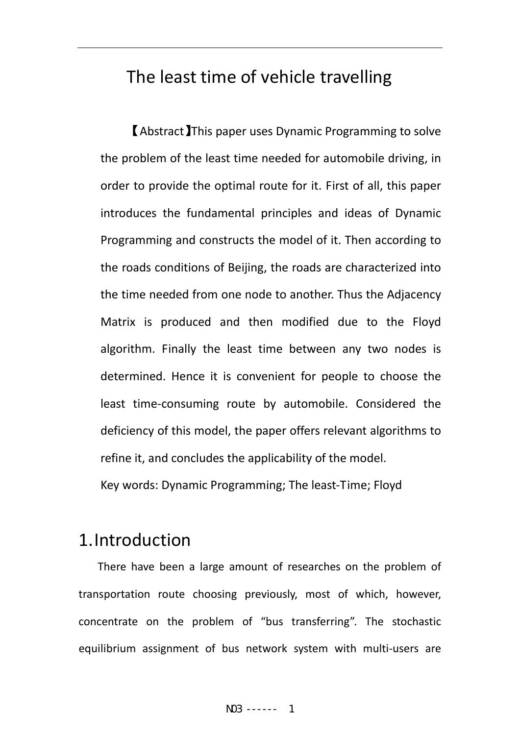# The least time of vehicle travelling

【Abstract】This paper uses Dynamic Programming to solve the problem of the least time needed for automobile driving, in order to provide the optimal route for it. First of all, this paper introduces the fundamental principles and ideas of Dynamic Programming and constructs the model of it. Then according to the roads conditions of Beijing, the roads are characterized into the time needed from one node to another. Thus the Adjacency Matrix is produced and then modified due to the Floyd algorithm. Finally the least time between any two nodes is determined. Hence it is convenient for people to choose the least time‐consuming route by automobile. Considered the deficiency of this model, the paper offers relevant algorithms to refine it, and concludes the applicability of the model.

Key words: Dynamic Programming; The least‐Time; Floyd

## 1.Introduction

 There have been <sup>a</sup> large amount of researches on the problem of transportation route choosing previously, most of which, however, concentrate on the problem of "bus transferring". The stochastic equilibrium assignment of bus network system with multi-users are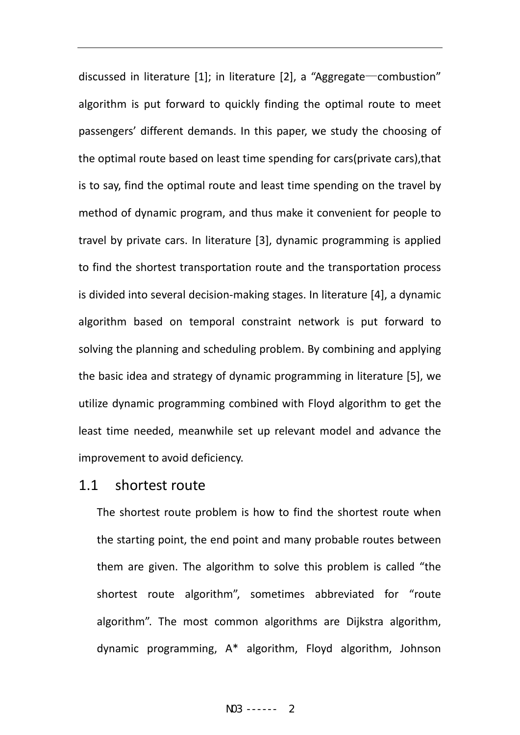discussed in literature [1]; in literature [2], a "Aggregate—combustion" algorithm is put forward to quickly finding the optimal route to meet passengers' different demands. In this paper, we study the choosing of the optimal route based on least time spending for cars(private cars),that is to say, find the optimal route and least time spending on the travel by method of dynamic program, and thus make it convenient for people to travel by private cars. In literature [3], dynamic programming is applied to find the shortest transportation route and the transportation process is divided into several decision‐making stages. In literature [4], a dynamic algorithm based on temporal constraint network is put forward to solving the planning and scheduling problem. By combining and applying the basic idea and strategy of dynamic programming in literature [5], we utilize dynamic programming combined with Floyd algorithm to get the least time needed, meanwhile set up relevant model and advance the improvement to avoid deficiency.

#### 1.1 shortest route

The shortest route problem is how to find the shortest route when the starting point, the end point and many probable routes between them are given. The algorithm to solve this problem is called "the shortest route algorithm", sometimes abbreviated for "route algorithm". The most common algorithms are Dijkstra algorithm, dynamic programming, A\* algorithm, Floyd algorithm, Johnson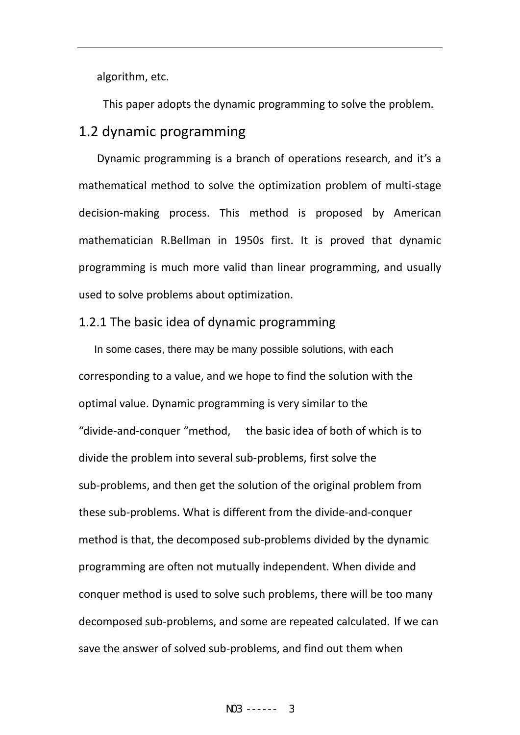algorithm, etc.

This paper adopts the dynamic programming to solve the problem.

## 1.2 dynamic programming

 Dynamic programming is a branch of operations research, and it's a mathematical method to solve the optimization problem of multi‐stage decision‐making process. This method is proposed by American mathematician R.Bellman in 1950s first. It is proved that dynamic programming is much more valid than linear programming, and usually used to solve problems about optimization.

#### 1.2.1 The basic idea of dynamic programming

In some cases, there may be many possible solutions, with each corresponding to a value, and we hope to find the solution with the optimal value. Dynamic programming is very similar to the "divide‐and‐conquer "method, the basic idea of both of which is to divide the problem into several sub‐problems, first solve the sub‐problems, and then get the solution of the original problem from these sub‐problems. What is different from the divide‐and‐conquer method is that, the decomposed sub‐problems divided by the dynamic programming are often not mutually independent. When divide and conquer method is used to solve such problems, there will be too many decomposed sub‐problems, and some are repeated calculated. If we can save the answer of solved sub‐problems, and find out them when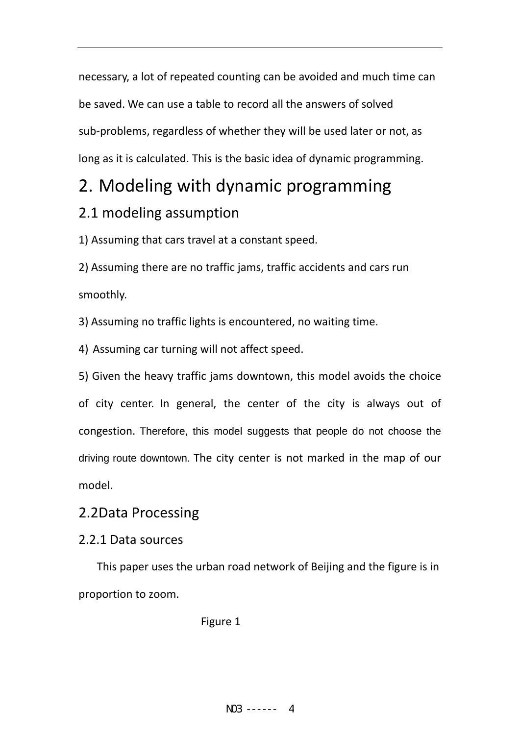necessary, a lot of repeated counting can be avoided and much time can be saved. We can use a table to record all the answers of solved sub‐problems, regardless of whether they will be used later or not, as long as it is calculated. This is the basic idea of dynamic programming.

# 2. Modeling with dynamic programming

## 2.1 modeling assumption

1) Assuming that cars travel at a constant speed.

2) Assuming there are no traffic jams, traffic accidents and cars run smoothly.

3) Assuming no traffic lights is encountered, no waiting time.

4) Assuming car turning will not affect speed.

5) Given the heavy traffic jams downtown, this model avoids the choice of city center. In general, the center of the city is always out of congestion. Therefore, this model suggests that people do not choose the driving route downtown. The city center is not marked in the map of our model.

## 2.2Data Processing

### 2.2.1 Data sources

This paper uses the urban road network of Beijing and the figure is in proportion to zoom.

#### Figure 1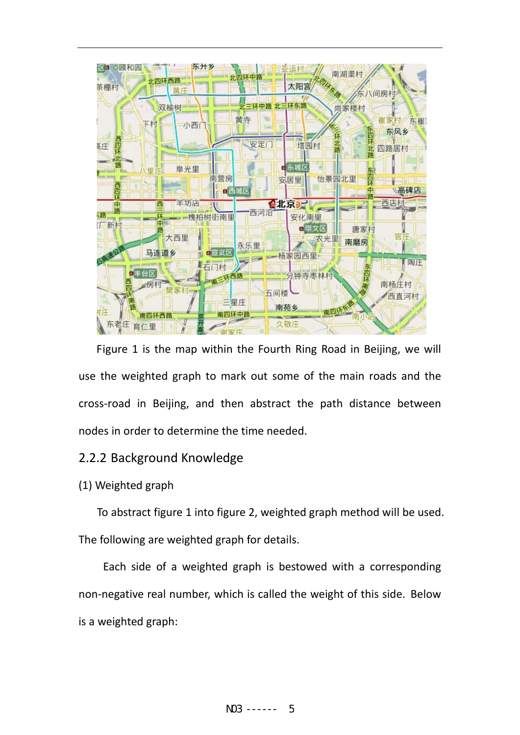

Figure 1 is the map within the Fourth Ring Road in Beijing, we will use the weighted graph to mark out some of the main roads and the cross‐road in Beijing, and then abstract the path distance between nodes in order to determine the time needed.

#### 2.2.2 Background Knowledge

#### (1) Weighted graph

To abstract figure 1 into figure 2, weighted graph method will be used. The following are weighted graph for details.

Each side of a weighted graph is bestowed with a corresponding non‐negative real number, which is called the weight of this side. Below is a weighted graph: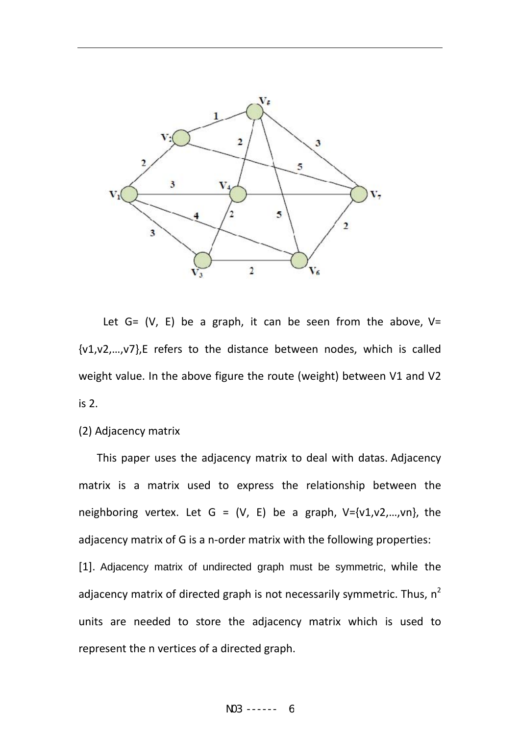

Let  $G = (V, E)$  be a graph, it can be seen from the above,  $V =$ {v1,v2,…,v7},E refers to the distance between nodes, which is called weight value. In the above figure the route (weight) between V1 and V2 is 2.

#### (2) Adjacency matrix

This paper uses the adjacency matrix to deal with datas. Adjacency matrix is a matrix used to express the relationship between the neighboring vertex. Let  $G = (V, E)$  be a graph,  $V = \{v1, v2, ..., vn\}$ , the adjacency matrix of G is a n‐order matrix with the following properties: [1]. Adjacency matrix of undirected graph must be symmetric, while the adjacency matrix of directed graph is not necessarily symmetric. Thus,  $n^2$ units are needed to store the adjacency matrix which is used to represent the n vertices of a directed graph.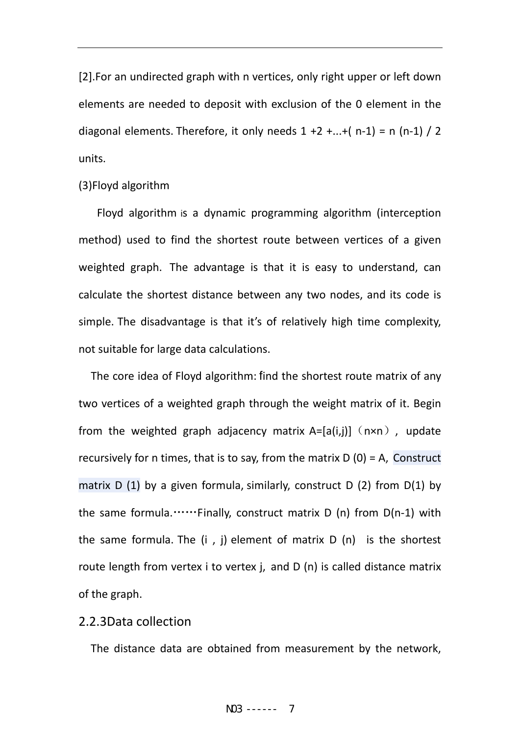[2].For an undirected graph with n vertices, only right upper or left down elements are needed to deposit with exclusion of the 0 element in the diagonal elements. Therefore, it only needs  $1 + 2 + ... + (n-1) = n(n-1)/2$ units.

#### (3)Floyd algorithm

Floyd algorithm is a dynamic programming algorithm (interception method) used to find the shortest route between vertices of a given weighted graph. The advantage is that it is easy to understand, can calculate the shortest distance between any two nodes, and its code is simple. The disadvantage is that it's of relatively high time complexity, not suitable for large data calculations.

The core idea of Floyd algorithm: find the shortest route matrix of any two vertices of a weighted graph through the weight matrix of it. Begin from the weighted graph adjacency matrix  $A=[a(i,j)]$  (n×n), update recursively for n times, that is to say, from the matrix  $D(0) = A$ , Construct matrix  $D(1)$  by a given formula, similarly, construct  $D(2)$  from  $D(1)$  by the same formula.……Finally, construct matrix  $D(n)$  from  $D(n-1)$  with the same formula. The  $(i, j)$  element of matrix  $D(n)$  is the shortest route length from vertex i to vertex j, and D (n) is called distance matrix of the graph.

#### 2.2.3Data collection

The distance data are obtained from measurement by the network,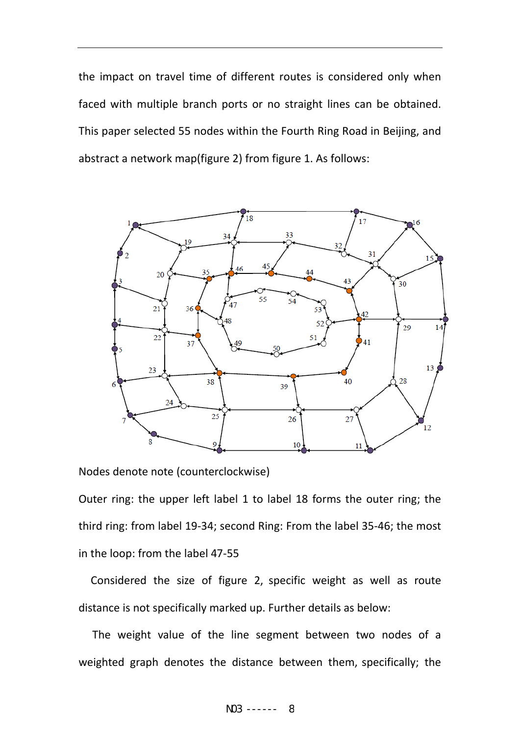the impact on travel time of different routes is considered only when faced with multiple branch ports or no straight lines can be obtained. This paper selected 55 nodes within the Fourth Ring Road in Beijing, and abstract a network map(figure 2) from figure 1. As follows:



Nodes denote note (counterclockwise)

Outer ring: the upper left label 1 to label 18 forms the outer ring; the third ring: from label 19‐34; second Ring: From the label 35‐46; the most in the loop: from the label 47‐55

Considered the size of figure 2, specific weight as well as route distance is not specifically marked up. Further details as below:

 The weight value of the line segment between two nodes of a weighted graph denotes the distance between them, specifically; the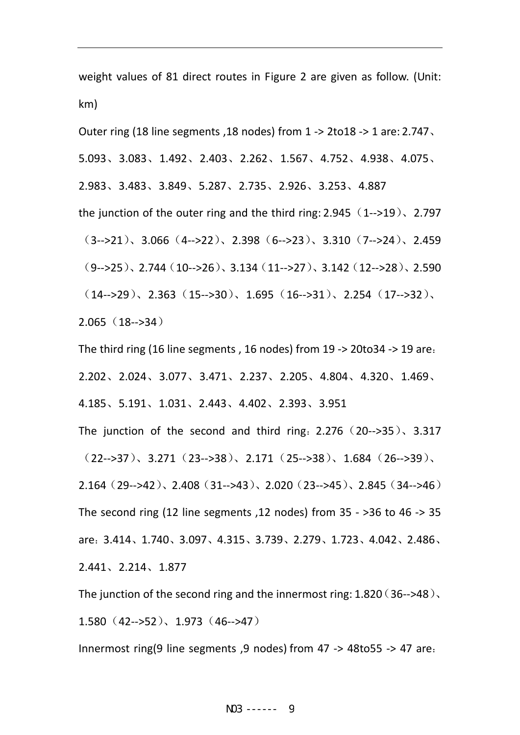weight values of 81 direct routes in Figure 2 are given as follow. (Unit: km)

Outer ring (18 line segments ,18 nodes) from 1 ‐> 2to18 ‐> 1 are: 2.747、 5.093、3.083、1.492、2.403、2.262、1.567、4.752、4.938、4.075、 2.983、3.483、3.849、5.287、2.735、2.926、3.253、4.887 the junction of the outer ring and the third ring:  $2.945(1--19)$ ,  $2.797$  $(3--&>21)$ , 3.066  $(4--&>22)$ , 2.398  $(6--&>23)$ , 3.310  $(7--&>24)$ , 2.459  $(9 - > 25)$ 、2.744 $(10 - > 26)$ 、3.134 $(11 - > 27)$ 、3.142 $(12 - > 28)$ 、2.590  $(14 - >29)$ 、2.363 $(15 - >30)$ 、1.695 $(16 - >31)$ 、2.254 $(17 - >32)$ 2.065(18‐‐>34)

The third ring (16 line segments , 16 nodes) from 19 ‐> 20to34 ‐> 19 are: 2.202、2.024、3.077、3.471、2.237、2.205、4.804、4.320、1.469、 4.185、5.191、1.031、2.443、4.402、2.393、3.951

The junction of the second and third ring:  $2.276$  (20-->35),  $3.317$  $(22--&>37)$ , 3.271 $(23--&>38)$ , 2.171 $(25--&>38)$ , 1.684 $(26--&>39)$ 2.164(29‐‐>42)、2.408(31‐‐>43)、2.020(23‐‐>45)、2.845(34‐‐>46) The second ring (12 line segments , 12 nodes) from  $35 - 36$  to  $46 \rightarrow 35$ are:3.414、1.740、3.097、4.315、3.739、2.279、1.723、4.042、2.486、 2.441、2.214、1.877

The junction of the second ring and the innermost ring:  $1.820(36-348)$ . 1.580(42‐‐>52)、1.973(46‐‐>47)

Innermost ring(9 line segments ,9 nodes) from 47 ‐> 48to55 ‐> 47 are: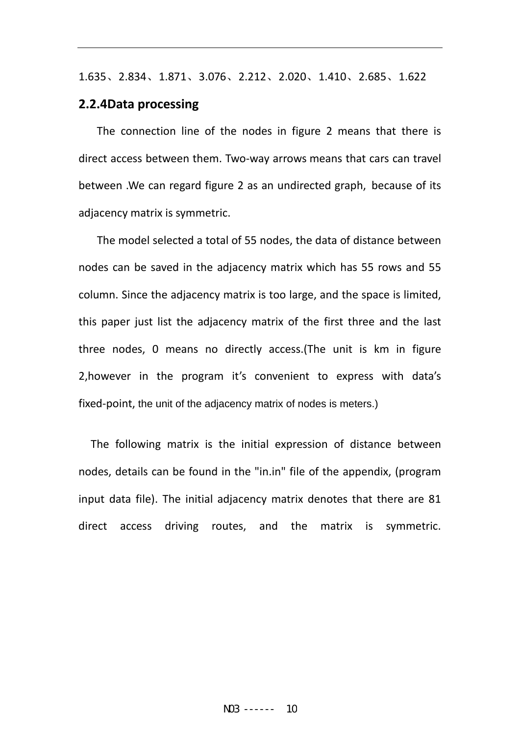1.635、2.834、1.871、3.076、2.212、2.020、1.410、2.685、1.622

#### **2.2.4Data processing**

The connection line of the nodes in figure 2 means that there is direct access between them. Two‐way arrows means that cars can travel between .We can regard figure 2 as an undirected graph, because of its adjacency matrix is symmetric.

The model selected a total of 55 nodes, the data of distance between nodes can be saved in the adjacency matrix which has 55 rows and 55 column. Since the adjacency matrix is too large, and the space is limited, this paper just list the adjacency matrix of the first three and the last three nodes, 0 means no directly access.(The unit is km in figure 2,however in the program it's convenient to express with data's fixed-point, the unit of the adjacency matrix of nodes is meters.)

The following matrix is the initial expression of distance between nodes, details can be found in the "in.in" file of the appendix, (program input data file). The initial adjacency matrix denotes that there are 81 direct access driving routes, and the matrix is symmetric.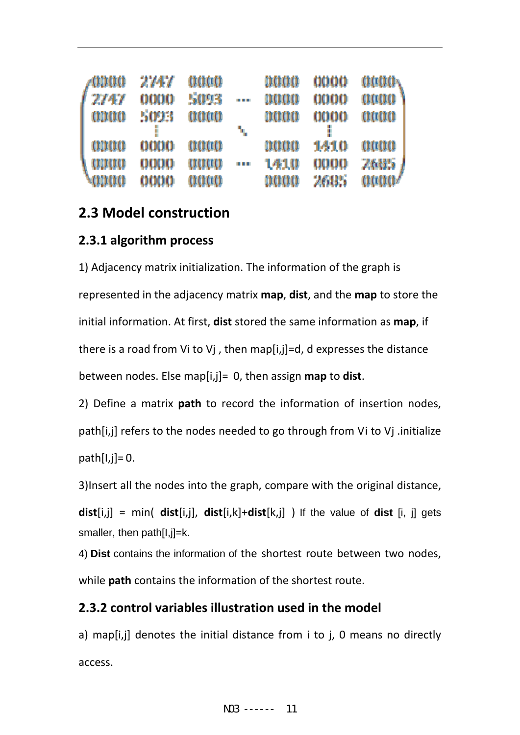| $\sqrt{0000}$ | 2747     | aaaa |            | naaa | $0000-$ | anaa |
|---------------|----------|------|------------|------|---------|------|
| 2747          | 0000     | 5093 | a a c      | nuun | 0000    | 0000 |
| 0000          | 5093     | aaaa |            | muna | 0000    | 0000 |
|               |          |      | ٩.         |      |         |      |
| 00000         | 0000     | aaaa |            | mun  | 1410    | 0000 |
| այա           | 0000     | aaaa | <b>LEE</b> | 1410 | 0000    | 2685 |
| <b>MANA</b>   | $0000 -$ | aaaa |            | naaa | 2605    | anaa |

## **2.3 Model construction**

### **2.3.1 algorithm process**

1) Adjacency matrix initialization. The information of the graph is represented in the adjacency matrix **map**, **dist**, and the **map** to store the initial information. At first, **dist** stored the same information as **map**, if there is a road from Vi to Vj , then map[i,j]=d, d expresses the distance between nodes. Else map[i,j]= 0, then assign **map** to **dist**.

2) Define a matrix **path** to record the information of insertion nodes, path[i,j] refers to the nodes needed to go through from Vi to Vj .initialize path $[I,j]=0$ .

3)Insert all the nodes into the graph, compare with the original distance,

**dist**[i,j] = min( **dist**[i,j], **dist**[i,k]+**dist**[k,j] ) If the value of **dist** [i, j] gets smaller, then path[I,j]=k.

4) **Dist** contains the information of the shortest route between two nodes, while **path** contains the information of the shortest route.

## **2.3.2 control variables illustration used in the model**

a) map[i,j] denotes the initial distance from i to j, 0 means no directly access.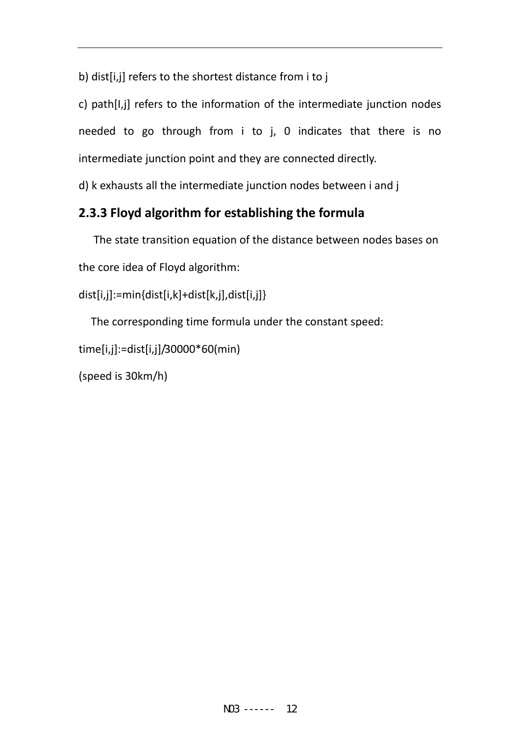b) dist[i,j] refers to the shortest distance from i to j

c) path[I,j] refers to the information of the intermediate junction nodes needed to go through from i to j, 0 indicates that there is no intermediate junction point and they are connected directly.

d) k exhausts all the intermediate junction nodes between i and j

## **2.3.3 Floyd algorithm for establishing the formula**

 The state transition equation of the distance between nodes bases on the core idea of Floyd algorithm:

```
dist[i,j]:=min{dist[i,k]+dist[k,j],dist[i,j]}
```
The corresponding time formula under the constant speed:

```
time[i,j]:=dist[i,j]/30000*60(min)
```

```
(speed is 30km/h)
```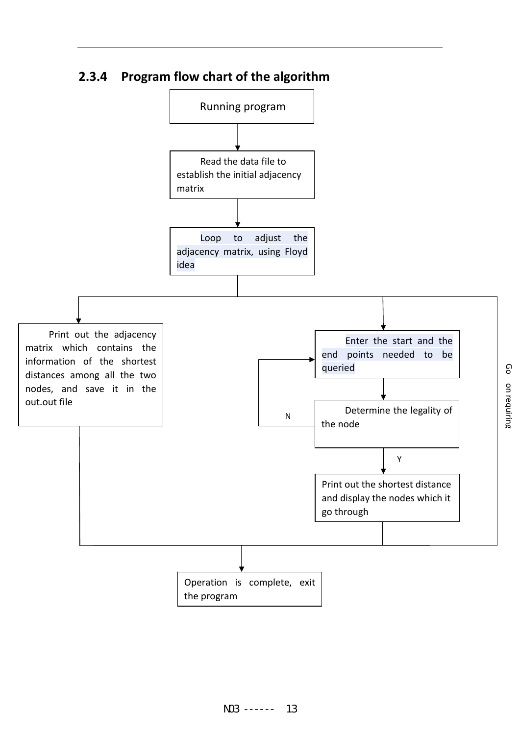

## **2.3.4 Program flow chart of the algorithm**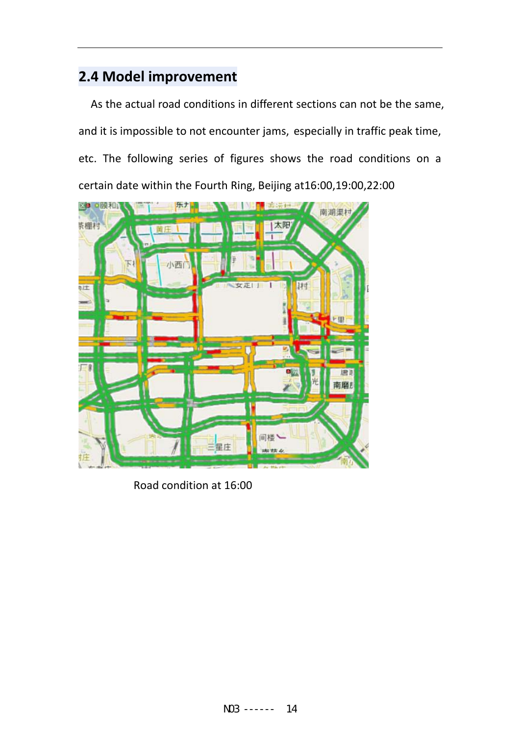## **2.4 Model improvement**

As the actual road conditions in different sections can not be the same, and it is impossible to not encounter jams, especially in traffic peak time, etc. The following series of figures shows the road conditions on a certain date within the Fourth Ring, Beijing at16:00,19:00,22:00



Road condition at 16:00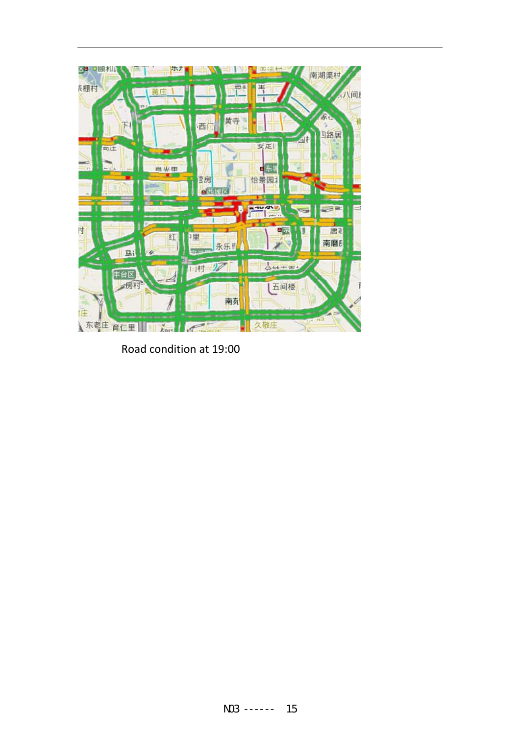

Road condition at 19:00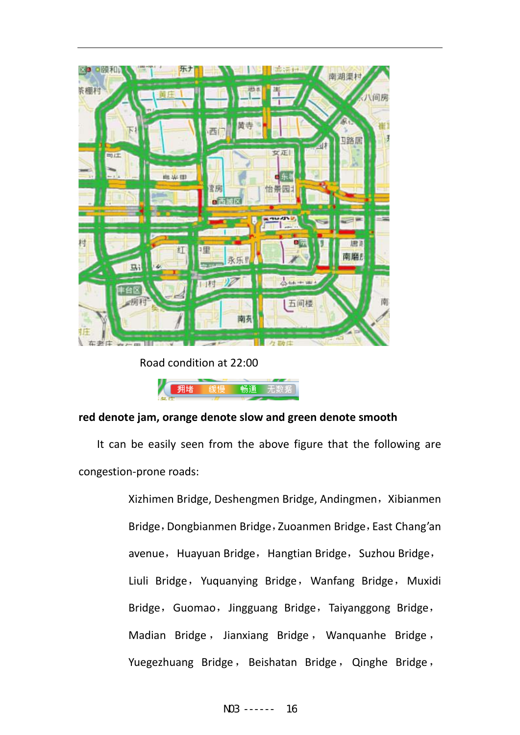

Road condition at 22:00



#### **red denote jam, orange denote slow and green denote smooth**

It can be easily seen from the above figure that the following are congestion‐prone roads:

> Xizhimen Bridge, Deshengmen Bridge, Andingmen, Xibianmen Bridge, Dongbianmen Bridge, Zuoanmen Bridge, East Chang'an avenue, Huayuan Bridge, Hangtian Bridge, Suzhou Bridge, Liuli Bridge, Yuquanying Bridge, Wanfang Bridge, Muxidi Bridge, Guomao, Jingguang Bridge, Taiyanggong Bridge, Madian Bridge , Jianxiang Bridge , Wanquanhe Bridge , Yuegezhuang Bridge, Beishatan Bridge, Qinghe Bridge,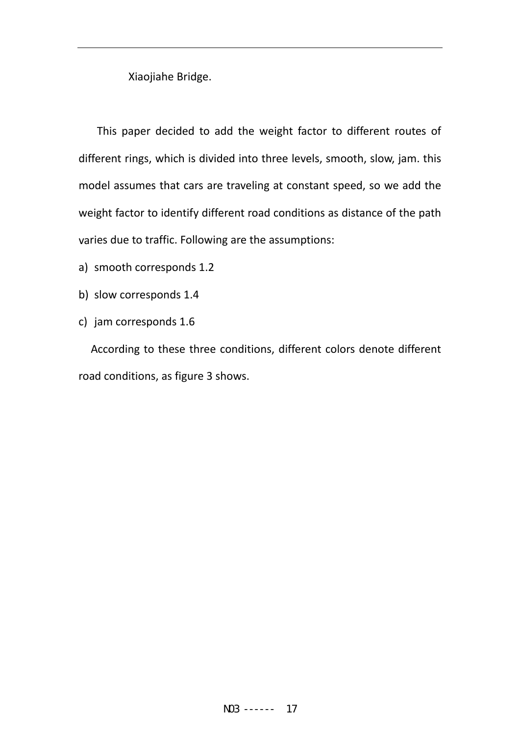Xiaojiahe Bridge.

This paper decided to add the weight factor to different routes of different rings, which is divided into three levels, smooth, slow, jam. this model assumes that cars are traveling at constant speed, so we add the weight factor to identify different road conditions as distance of the path varies due to traffic. Following are the assumptions:

- a) smooth corresponds 1.2
- b) slow corresponds 1.4
- c) jam corresponds 1.6

According to these three conditions, different colors denote different road conditions, as figure 3 shows.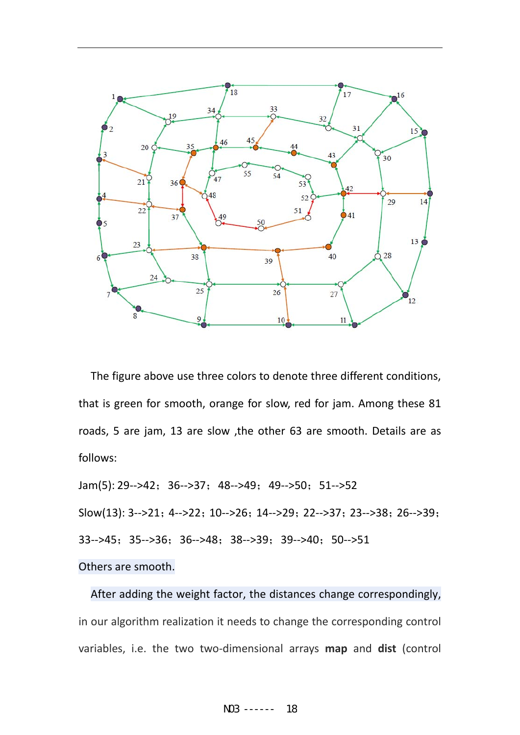

The figure above use three colors to denote three different conditions, that is green for smooth, orange for slow, red for jam. Among these 81 roads, 5 are jam, 13 are slow ,the other 63 are smooth. Details are as follows:

Jam(5): 29-->42; 36-->37; 48-->49; 49-->50; 51-->52 Slow(13): 3-->21; 4-->22; 10-->26; 14-->29; 22-->37; 23-->38; 26-->39; 33-->45; 35-->36; 36-->48; 38-->39; 39-->40; 50-->51 Others are smooth.

After adding the weight factor, the distances change correspondingly, in our algorithm realization it needs to change the corresponding control variables, i.e. the two two‐dimensional arrays **map** and **dist** (control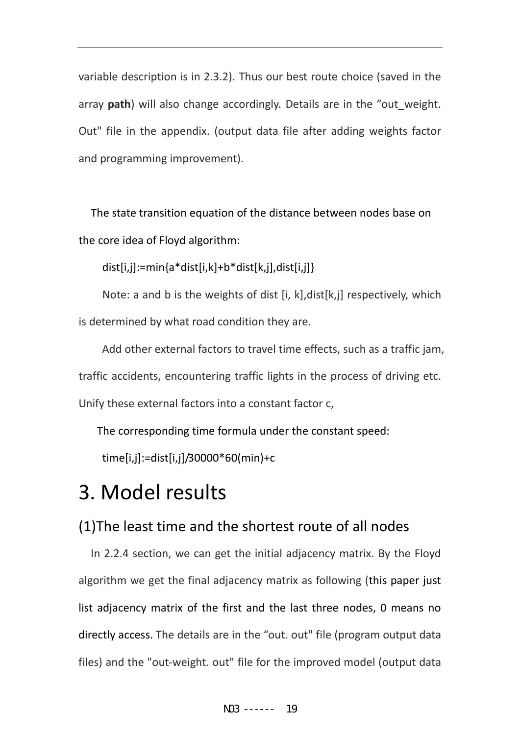variable description is in 2.3.2). Thus our best route choice (saved in the array **path**) will also change accordingly. Details are in the "out\_weight. Out" file in the appendix. (output data file after adding weights factor and programming improvement).

The state transition equation of the distance between nodes base on the core idea of Floyd algorithm:

dist[i,j]:=min{a\*dist[i,k]+b\*dist[k,j],dist[i,j]}

Note: a and b is the weights of dist [i, k],dist[k,j] respectively, which is determined by what road condition they are.

Add other external factors to travel time effects, such as a traffic jam, traffic accidents, encountering traffic lights in the process of driving etc. Unify these external factors into a constant factor c,

The corresponding time formula under the constant speed:

time[i,j]:=dist[i,j]/30000\*60(min)+c

# 3. Model results

## (1)The least time and the shortest route of all nodes

In 2.2.4 section, we can get the initial adjacency matrix. By the Floyd algorithm we get the final adjacency matrix as following (this paper just list adjacency matrix of the first and the last three nodes, 0 means no directly access. The details are in the "out. out" file (program output data files) and the "out-weight, out" file for the improved model (output data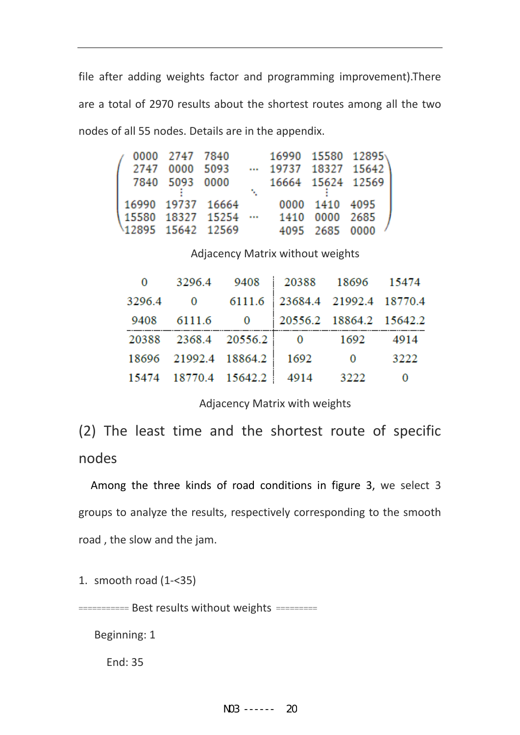file after adding weights factor and programming improvement).There are a total of 2970 results about the shortest routes among all the two nodes of all 55 nodes. Details are in the appendix.

|                                          | 0000 2747 7840<br>2747 0000 5093<br>7840 5093 0000 |                   |  |                                  | 16990 15580 12895<br>$\cdots$ 19737 18327 15642<br>16664 15624 12569 |  |
|------------------------------------------|----------------------------------------------------|-------------------|--|----------------------------------|----------------------------------------------------------------------|--|
| 15580 18327 15254 …<br>12895 15642 12569 |                                                    | 16990 19737 16664 |  | 1410 0000 2685<br>4095 2685 0000 | 0000 1410 4095                                                       |  |

Adjacency Matrix without weights

| 0 3296.4 9408 20388 18696 15474         |  |                         |      |
|-----------------------------------------|--|-------------------------|------|
| 3296.4 0 6111.6 23684.4 21992.4 18770.4 |  |                         |      |
| 9408 6111.6 0 20556.2 18864.2 15642.2   |  |                         |      |
| 20388 2368.4 20556.2 0 1692 4914        |  |                         |      |
| 18696 21992.4 18864.2 1692              |  | $\overline{\mathbf{0}}$ | 3222 |
| 15474 18770.4 15642.2 4914              |  | 3222                    | 0    |

Adjacency Matrix with weights

(2) The least time and the shortest route of specific nodes

Among the three kinds of road conditions in figure 3, we select 3 groups to analyze the results, respectively corresponding to the smooth road , the slow and the jam.

1. smooth road (1‐<35)

=========== Best results without weights =========

Beginning: 1

End: 35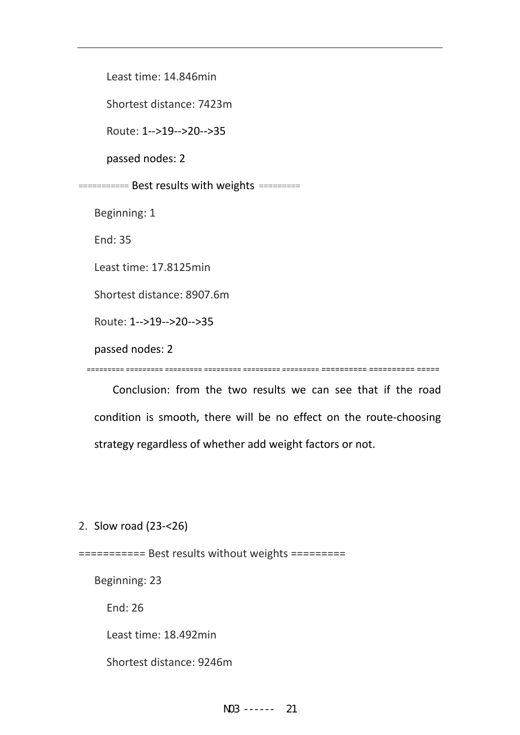Least time: 14.846min

Shortest distance: 7423m

Route: 1‐‐>19‐‐>20‐‐>35

passed nodes: 2

=========== Best results with weights =========

Beginning: 1

End: 35

Least time: 17.8125min

Shortest distance: 8907.6m

Route: 1‐‐>19‐‐>20‐‐>35

passed nodes: 2

========= ========= ========= ========= ========= ========= ========== ========== =====

 Conclusion: from the two results we can see that if the road condition is smooth, there will be no effect on the route‐choosing strategy regardless of whether add weight factors or not.

2. Slow road (23‐<26)

=========== Best results without weights =========

Beginning: 23

End: 26

Least time: 18.492min

Shortest distance: 9246m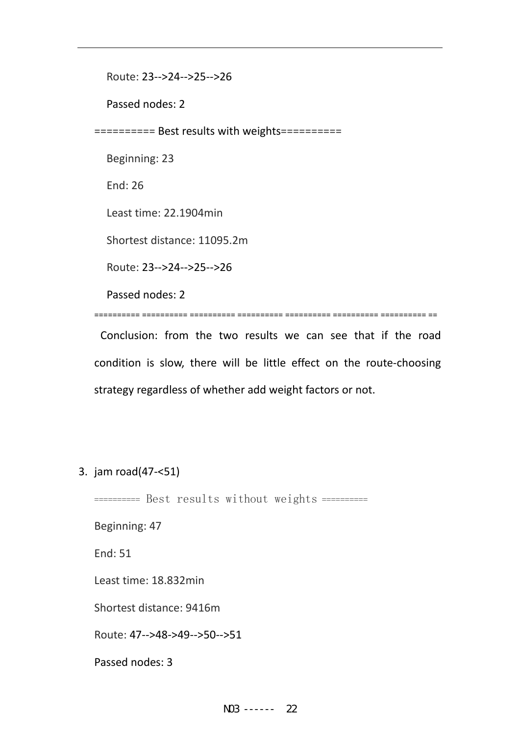Route: 23‐‐>24‐‐>25‐‐>26

Passed nodes: 2

========== Best results with weights==========

Beginning: 23

End: 26

Least time: 22.1904min

Shortest distance: 11095.2m

Route: 23‐‐>24‐‐>25‐‐>26

Passed nodes: 2

========== ========== ========== ========== ========== ========== ========== ==

Conclusion: from the two results we can see that if the road condition is slow, there will be little effect on the route‐choosing strategy regardless of whether add weight factors or not.

3. jam road(47‐<51)

========== Best results without weights ==========

Beginning: 47

End: 51

Least time: 18.832min

Shortest distance: 9416m

Route: 47‐‐>48‐>49‐‐>50‐‐>51

Passed nodes: 3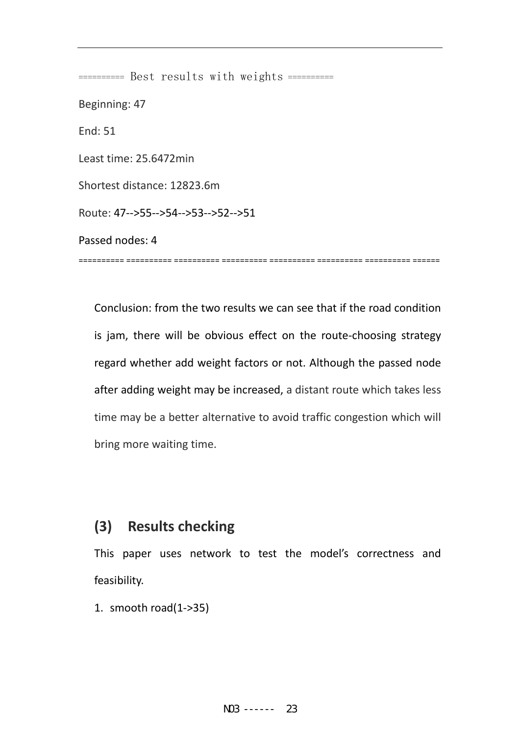========== Best results with weights ========== Beginning: 47 End: 51 Least time: 25.6472min Shortest distance: 12823.6m Route: 47‐‐>55‐‐>54‐‐>53‐‐>52‐‐>51 Passed nodes: 4 ========== ========== ========== ========== ========== ========== ========== ======

Conclusion: from the two results we can see that if the road condition is jam, there will be obvious effect on the route-choosing strategy regard whether add weight factors or not. Although the passed node after adding weight may be increased, a distant route which takes less time may be a better alternative to avoid traffic congestion which will bring more waiting time.

## **(3) Results checking**

This paper uses network to test the model's correctness and feasibility.

1. smooth road(1‐>35)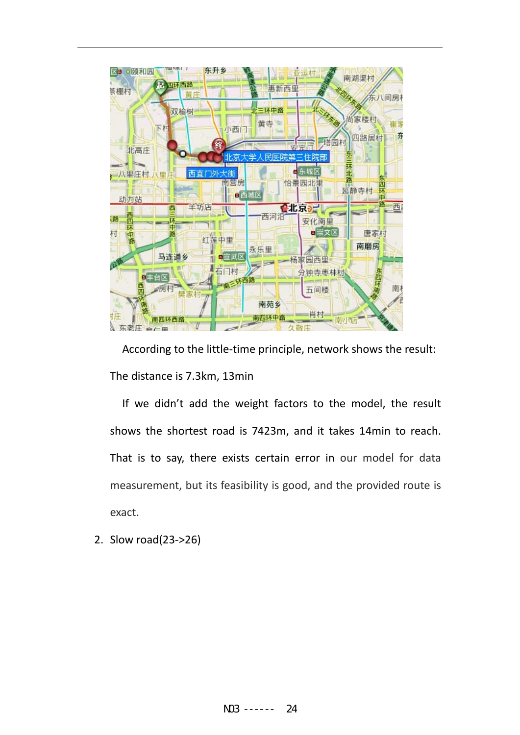

According to the little-time principle, network shows the result: The distance is 7.3km, 13min

If we didn't add the weight factors to the model, the result shows the shortest road is 7423m, and it takes 14min to reach. That is to say, there exists certain error in our model for data measurement, but its feasibility is good, and the provided route is exact.

2. Slow road(23‐>26)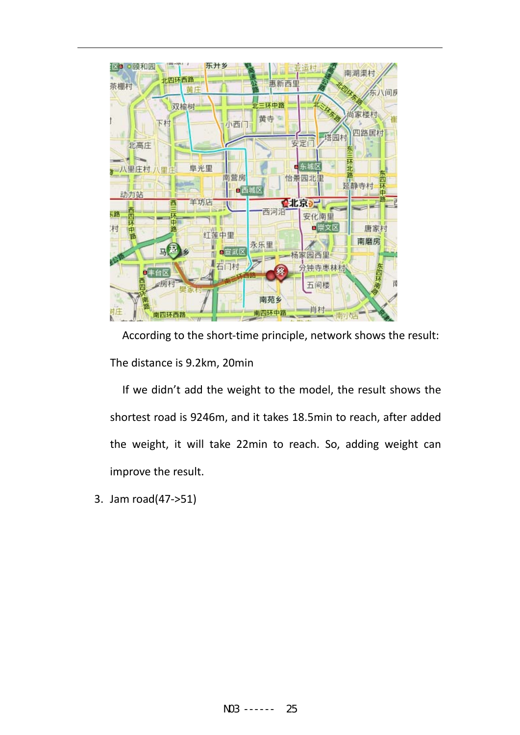

According to the short-time principle, network shows the result: The distance is 9.2km, 20min

If we didn't add the weight to the model, the result shows the shortest road is 9246m, and it takes 18.5min to reach, after added the weight, it will take 22min to reach. So, adding weight can improve the result.

3. Jam road(47‐>51)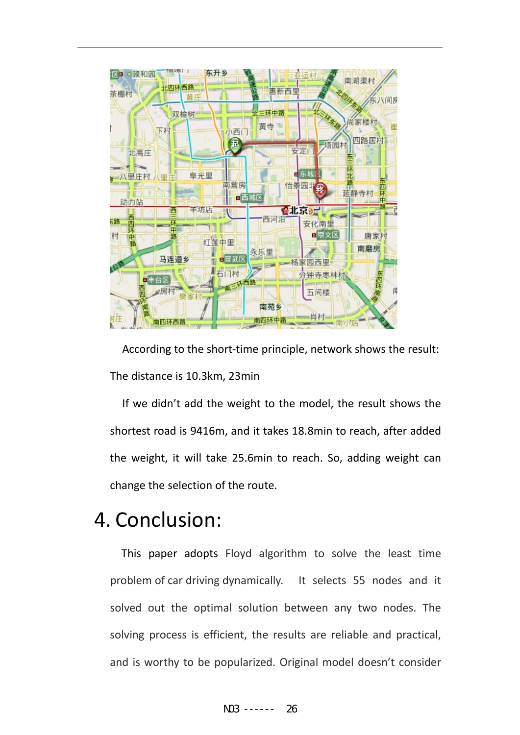

According to the short-time principle, network shows the result: The distance is 10.3km, 23min

If we didn't add the weight to the model, the result shows the shortest road is 9416m, and it takes 18.8min to reach, after added the weight, it will take 25.6min to reach. So, adding weight can change the selection of the route.

# 4. Conclusion:

This paper adopts Floyd algorithm to solve the least time problem of car driving dynamically. It selects 55 nodes and it solved out the optimal solution between any two nodes. The solving process is efficient, the results are reliable and practical, and is worthy to be popularized. Original model doesn't consider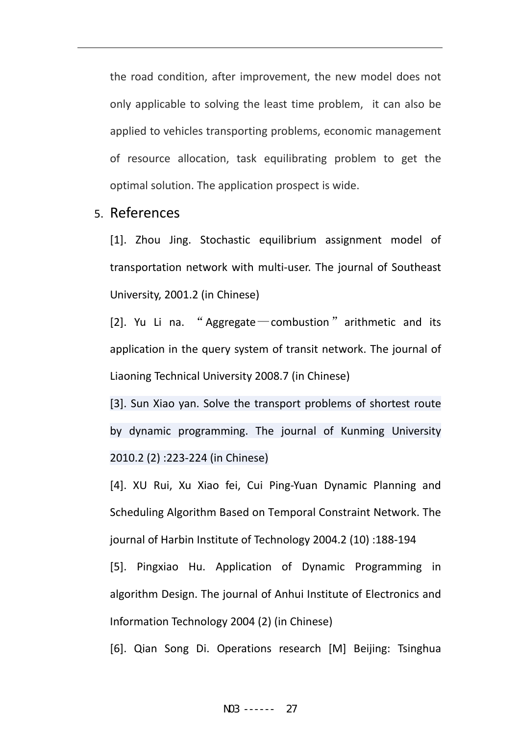the road condition, after improvement, the new model does not only applicable to solving the least time problem, it can also be applied to vehicles transporting problems, economic management of resource allocation, task equilibrating problem to get the optimal solution. The application prospect is wide.

#### 5. References

[1]. Zhou Jing. Stochastic equilibrium assignment model of transportation network with multi‐user. The journal of Southeast University, 2001.2 (in Chinese)

[2]. Yu Li na. "Aggregate  $\sim$  combustion" arithmetic and its application in the query system of transit network. The journal of Liaoning Technical University 2008.7 (in Chinese)

[3]. Sun Xiao yan. Solve the transport problems of shortest route by dynamic programming. The journal of Kunming University 2010.2 (2) :223‐224 (in Chinese)

[4]. XU Rui, Xu Xiao fei, Cui Ping‐Yuan Dynamic Planning and Scheduling Algorithm Based on Temporal Constraint Network. The journal of Harbin Institute of Technology 2004.2 (10) :188‐194

[5]. Pingxiao Hu. Application of Dynamic Programming in algorithm Design. The journal of Anhui Institute of Electronics and Information Technology 2004 (2) (in Chinese)

[6]. Qian Song Di. Operations research [M] Beijing: Tsinghua